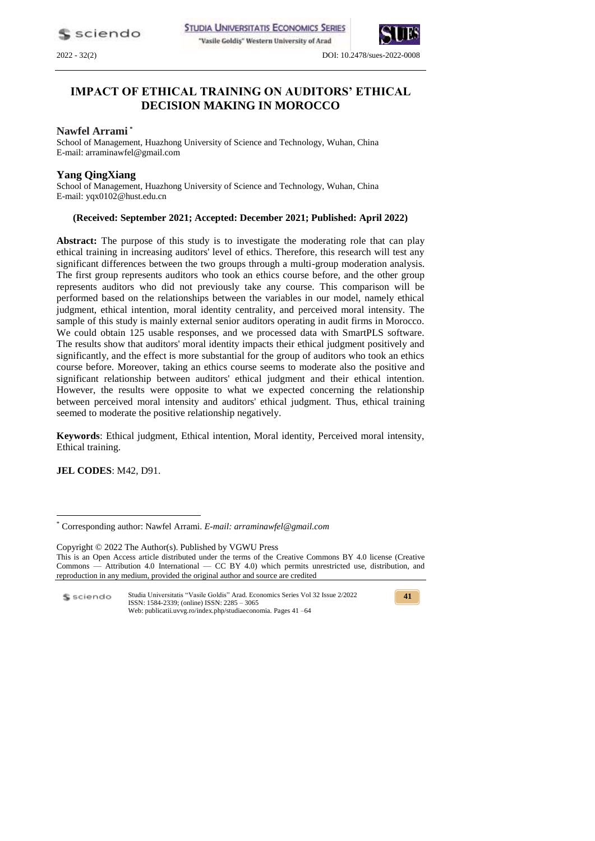sciendo

**STUDIA UNIVERSITATIS ECONOMICS SERIES** 

"Vasile Goldiş" Western University of Arad





2022 - 32(2) DOI: 10.2478/sues-2022-0008

# **IMPACT OF ETHICAL TRAINING ON AUDITORS' ETHICAL DECISION MAKING IN MOROCCO**

### **Nawfel Arrami \***

School of Management, Huazhong University of Science and Technology, Wuhan, China E-mail: arraminawfel@gmail.com

### **Yang QingXiang**

School of Management, Huazhong University of Science and Technology, Wuhan, China E-mail: yqx0102@hust.edu.cn

### **(Received: September 2021; Accepted: December 2021; Published: April 2022)**

**Abstract:** The purpose of this study is to investigate the moderating role that can play ethical training in increasing auditors' level of ethics. Therefore, this research will test any significant differences between the two groups through a multi-group moderation analysis. The first group represents auditors who took an ethics course before, and the other group represents auditors who did not previously take any course. This comparison will be performed based on the relationships between the variables in our model, namely ethical judgment, ethical intention, moral identity centrality, and perceived moral intensity. The sample of this study is mainly external senior auditors operating in audit firms in Morocco. We could obtain 125 usable responses, and we processed data with SmartPLS software. The results show that auditors' moral identity impacts their ethical judgment positively and significantly, and the effect is more substantial for the group of auditors who took an ethics course before. Moreover, taking an ethics course seems to moderate also the positive and significant relationship between auditors' ethical judgment and their ethical intention. However, the results were opposite to what we expected concerning the relationship between perceived moral intensity and auditors' ethical judgment. Thus, ethical training seemed to moderate the positive relationship negatively.

**Keywords**: Ethical judgment, Ethical intention, Moral identity, Perceived moral intensity, Ethical training.

**JEL CODES**: M42, D91.

<u>.</u>

Copyright © 2022 The Author(s). Published by VGWU Press This is an Open Access article distributed under the terms of the Creative Commons BY 4.0 license [\(Creative](https://creativecommons.org/licenses/by/4.0/)  Commons — [Attribution 4.0 International —](https://creativecommons.org/licenses/by/4.0/) CC BY 4.0) which permits unrestricted use, distribution, and reproduction in any medium, provided the original author and source are credited

Studia Universitatis "Vasile Goldis" Arad. Economics Series Vol 32 Issue 2/2022 \$ sciendo ISSN: 1584-2339; (online) ISSN: 2285 – 3065 Web: publicatii.uvvg.ro/index.php/studiaeconomia. Pages 41 –64

<sup>\*</sup> Corresponding author: Nawfel Arrami. *E-mail: arraminawfel@gmail.com*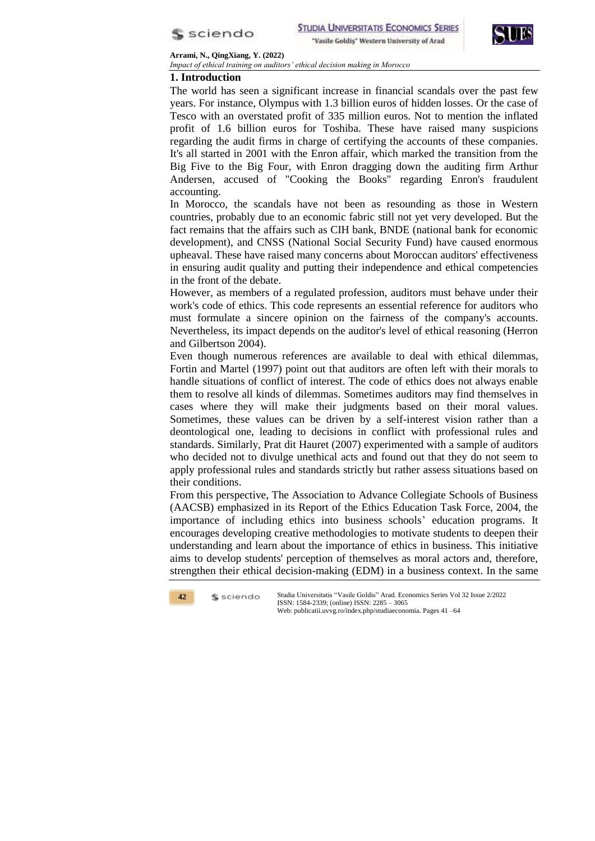



**Arrami, N., QingXiang, Y. (2022)**  *Impact of ethical training on auditors' ethical decision making in Morocco*

# **1. Introduction**

The world has seen a significant increase in financial scandals over the past few years. For instance, Olympus with 1.3 billion euros of hidden losses. Or the case of Tesco with an overstated profit of 335 million euros. Not to mention the inflated profit of 1.6 billion euros for Toshiba. These have raised many suspicions regarding the audit firms in charge of certifying the accounts of these companies. It's all started in 2001 with the Enron affair, which marked the transition from the Big Five to the Big Four, with Enron dragging down the auditing firm Arthur Andersen, accused of "Cooking the Books" regarding Enron's fraudulent accounting.

In Morocco, the scandals have not been as resounding as those in Western countries, probably due to an economic fabric still not yet very developed. But the fact remains that the affairs such as CIH bank, BNDE (national bank for economic development), and CNSS (National Social Security Fund) have caused enormous upheaval. These have raised many concerns about Moroccan auditors' effectiveness in ensuring audit quality and putting their independence and ethical competencies in the front of the debate.

However, as members of a regulated profession, auditors must behave under their work's code of ethics. This code represents an essential reference for auditors who must formulate a sincere opinion on the fairness of the company's accounts. Nevertheless, its impact depends on the auditor's level of ethical reasoning (Herron and Gilbertson 2004).

Even though numerous references are available to deal with ethical dilemmas, Fortin and Martel (1997) point out that auditors are often left with their morals to handle situations of conflict of interest. The code of ethics does not always enable them to resolve all kinds of dilemmas. Sometimes auditors may find themselves in cases where they will make their judgments based on their moral values. Sometimes, these values can be driven by a self-interest vision rather than a deontological one, leading to decisions in conflict with professional rules and standards. Similarly, Prat dit Hauret (2007) experimented with a sample of auditors who decided not to divulge unethical acts and found out that they do not seem to apply professional rules and standards strictly but rather assess situations based on their conditions.

From this perspective, The Association to Advance Collegiate Schools of Business (AACSB) emphasized in its Report of the Ethics Education Task Force, 2004, the importance of including ethics into business schools' education programs. It encourages developing creative methodologies to motivate students to deepen their understanding and learn about the importance of ethics in business. This initiative aims to develop students' perception of themselves as moral actors and, therefore, strengthen their ethical decision-making (EDM) in a business context. In the same

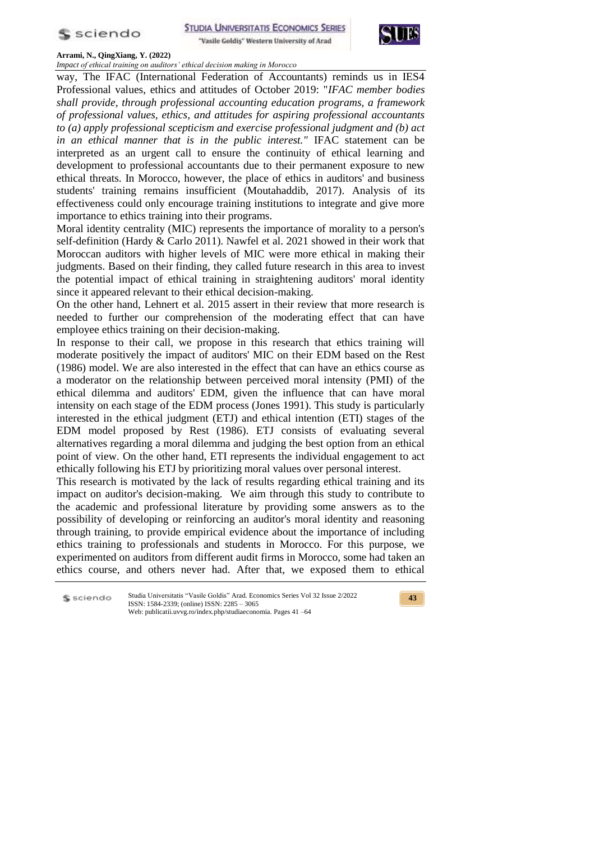



*Impact of ethical training on auditors' ethical decision making in Morocco*

way, The IFAC (International Federation of Accountants) reminds us in IES4 Professional values, ethics and attitudes of October 2019: "*IFAC member bodies shall provide, through professional accounting education programs, a framework of professional values, ethics, and attitudes for aspiring professional accountants to (a) apply professional scepticism and exercise professional judgment and (b) act in an ethical manner that is in the public interest."* IFAC statement can be interpreted as an urgent call to ensure the continuity of ethical learning and development to professional accountants due to their permanent exposure to new ethical threats. In Morocco, however, the place of ethics in auditors' and business students' training remains insufficient (Moutahaddib, 2017). Analysis of its effectiveness could only encourage training institutions to integrate and give more importance to ethics training into their programs.

Moral identity centrality (MIC) represents the importance of morality to a person's self-definition (Hardy & Carlo 2011). Nawfel et al. 2021 showed in their work that Moroccan auditors with higher levels of MIC were more ethical in making their judgments. Based on their finding, they called future research in this area to invest the potential impact of ethical training in straightening auditors' moral identity since it appeared relevant to their ethical decision-making.

On the other hand, Lehnert et al. 2015 assert in their review that more research is needed to further our comprehension of the moderating effect that can have employee ethics training on their decision-making.

In response to their call, we propose in this research that ethics training will moderate positively the impact of auditors' MIC on their EDM based on the Rest (1986) model. We are also interested in the effect that can have an ethics course as a moderator on the relationship between perceived moral intensity (PMI) of the ethical dilemma and auditors' EDM, given the influence that can have moral intensity on each stage of the EDM process (Jones 1991). This study is particularly interested in the ethical judgment (ETJ) and ethical intention (ETI) stages of the EDM model proposed by Rest (1986). ETJ consists of evaluating several alternatives regarding a moral dilemma and judging the best option from an ethical point of view. On the other hand, ETI represents the individual engagement to act ethically following his ETJ by prioritizing moral values over personal interest.

This research is motivated by the lack of results regarding ethical training and its impact on auditor's decision-making. We aim through this study to contribute to the academic and professional literature by providing some answers as to the possibility of developing or reinforcing an auditor's moral identity and reasoning through training, to provide empirical evidence about the importance of including ethics training to professionals and students in Morocco. For this purpose, we experimented on auditors from different audit firms in Morocco, some had taken an ethics course, and others never had. After that, we exposed them to ethical

Studia Universitatis "Vasile Goldis" Arad. Economics Series Vol 32 Issue 2/2022 S sciendo ISSN: 1584-2339; (online) ISSN: 2285 – 3065 Web: publicatii.uvvg.ro/index.php/studiaeconomia. Pages 41 –64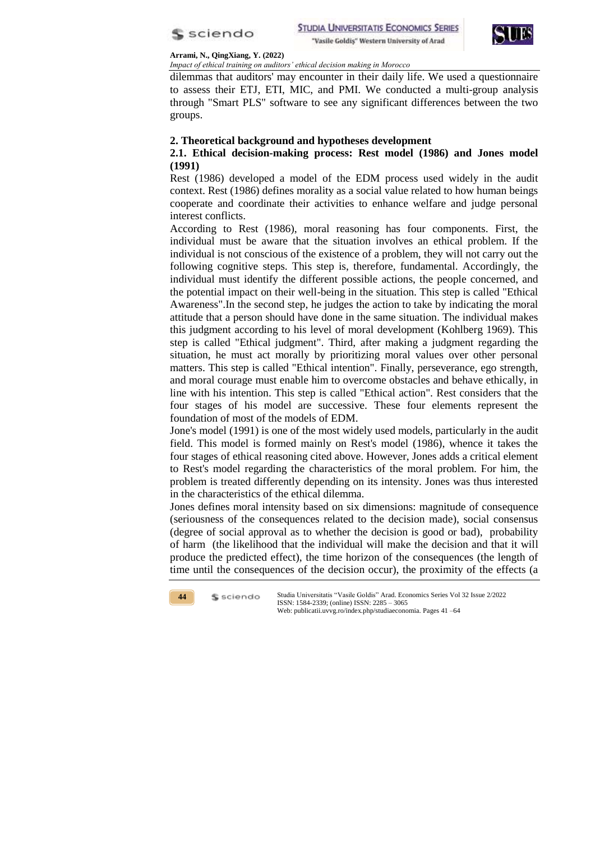



*Impact of ethical training on auditors' ethical decision making in Morocco*

dilemmas that auditors' may encounter in their daily life. We used a questionnaire to assess their ETJ, ETI, MIC, and PMI. We conducted a multi-group analysis through "Smart PLS" software to see any significant differences between the two groups.

## **2. Theoretical background and hypotheses development**

# **2.1. Ethical decision-making process: Rest model (1986) and Jones model (1991)**

Rest (1986) developed a model of the EDM process used widely in the audit context. Rest (1986) defines morality as a social value related to how human beings cooperate and coordinate their activities to enhance welfare and judge personal interest conflicts.

According to Rest (1986), moral reasoning has four components. First, the individual must be aware that the situation involves an ethical problem. If the individual is not conscious of the existence of a problem, they will not carry out the following cognitive steps. This step is, therefore, fundamental. Accordingly, the individual must identify the different possible actions, the people concerned, and the potential impact on their well-being in the situation. This step is called "Ethical Awareness".In the second step, he judges the action to take by indicating the moral attitude that a person should have done in the same situation. The individual makes this judgment according to his level of moral development (Kohlberg 1969). This step is called "Ethical judgment". Third, after making a judgment regarding the situation, he must act morally by prioritizing moral values over other personal matters. This step is called "Ethical intention". Finally, perseverance, ego strength, and moral courage must enable him to overcome obstacles and behave ethically, in line with his intention. This step is called "Ethical action". Rest considers that the four stages of his model are successive. These four elements represent the foundation of most of the models of EDM.

Jone's model (1991) is one of the most widely used models, particularly in the audit field. This model is formed mainly on Rest's model (1986), whence it takes the four stages of ethical reasoning cited above. However, Jones adds a critical element to Rest's model regarding the characteristics of the moral problem. For him, the problem is treated differently depending on its intensity. Jones was thus interested in the characteristics of the ethical dilemma.

Jones defines moral intensity based on six dimensions: magnitude of consequence (seriousness of the consequences related to the decision made), social consensus (degree of social approval as to whether the decision is good or bad), probability of harm (the likelihood that the individual will make the decision and that it will produce the predicted effect), the time horizon of the consequences (the length of time until the consequences of the decision occur), the proximity of the effects (a

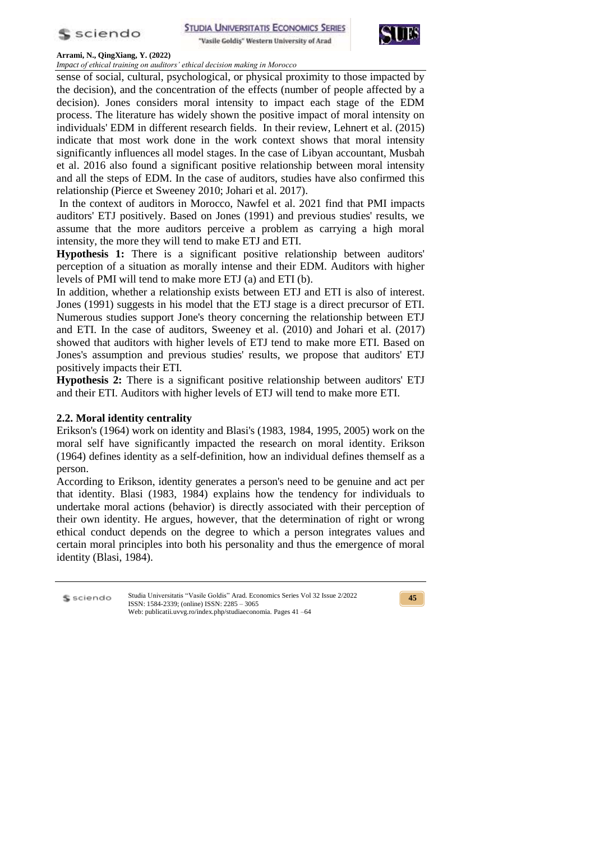

"Vasile Goldis" Western University of Arad



#### **Arrami, N., QingXiang, Y. (2022)**

*Impact of ethical training on auditors' ethical decision making in Morocco*

sense of social, cultural, psychological, or physical proximity to those impacted by the decision), and the concentration of the effects (number of people affected by a decision). Jones considers moral intensity to impact each stage of the EDM process. The literature has widely shown the positive impact of moral intensity on individuals' EDM in different research fields. In their review, Lehnert et al. (2015) indicate that most work done in the work context shows that moral intensity significantly influences all model stages. In the case of Libyan accountant, Musbah et al. 2016 also found a significant positive relationship between moral intensity and all the steps of EDM. In the case of auditors, studies have also confirmed this relationship (Pierce et Sweeney 2010; Johari et al. 2017).

In the context of auditors in Morocco, Nawfel et al. 2021 find that PMI impacts auditors' ETJ positively. Based on Jones (1991) and previous studies' results, we assume that the more auditors perceive a problem as carrying a high moral intensity, the more they will tend to make ETJ and ETI.

**Hypothesis 1:** There is a significant positive relationship between auditors' perception of a situation as morally intense and their EDM. Auditors with higher levels of PMI will tend to make more ETJ (a) and ETI (b).

In addition, whether a relationship exists between ETJ and ETI is also of interest. Jones (1991) suggests in his model that the ETJ stage is a direct precursor of ETI. Numerous studies support Jone's theory concerning the relationship between ETJ and ETI. In the case of auditors, Sweeney et al. (2010) and Johari et al. (2017) showed that auditors with higher levels of ETJ tend to make more ETI. Based on Jones's assumption and previous studies' results, we propose that auditors' ETJ positively impacts their ETI.

**Hypothesis 2:** There is a significant positive relationship between auditors' ETJ and their ETI. Auditors with higher levels of ETJ will tend to make more ETI.

## **2.2. Moral identity centrality**

Erikson's (1964) work on identity and Blasi's (1983, 1984, 1995, 2005) work on the moral self have significantly impacted the research on moral identity. Erikson (1964) defines identity as a self-definition, how an individual defines themself as a person.

According to Erikson, identity generates a person's need to be genuine and act per that identity. Blasi (1983, 1984) explains how the tendency for individuals to undertake moral actions (behavior) is directly associated with their perception of their own identity. He argues, however, that the determination of right or wrong ethical conduct depends on the degree to which a person integrates values and certain moral principles into both his personality and thus the emergence of moral identity (Blasi, 1984).

S sciendo

Studia Universitatis "Vasile Goldis" Arad. Economics Series Vol 32 Issue 2/2022 ISSN: 1584-2339; (online) ISSN: 2285 – 3065 Web: publicatii.uvvg.ro/index.php/studiaeconomia. Pages 41 –64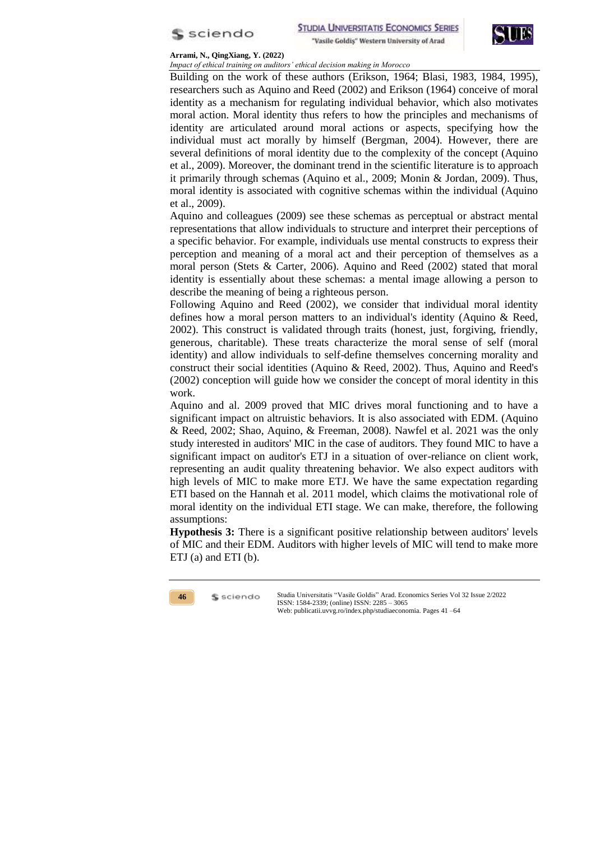



*Impact of ethical training on auditors' ethical decision making in Morocco*

Building on the work of these authors (Erikson, 1964; Blasi, 1983, 1984, 1995), researchers such as Aquino and Reed (2002) and Erikson (1964) conceive of moral identity as a mechanism for regulating individual behavior, which also motivates moral action. Moral identity thus refers to how the principles and mechanisms of identity are articulated around moral actions or aspects, specifying how the individual must act morally by himself (Bergman, 2004). However, there are several definitions of moral identity due to the complexity of the concept (Aquino et al., 2009). Moreover, the dominant trend in the scientific literature is to approach it primarily through schemas (Aquino et al., 2009; Monin & Jordan, 2009). Thus, moral identity is associated with cognitive schemas within the individual (Aquino et al., 2009).

Aquino and colleagues (2009) see these schemas as perceptual or abstract mental representations that allow individuals to structure and interpret their perceptions of a specific behavior. For example, individuals use mental constructs to express their perception and meaning of a moral act and their perception of themselves as a moral person (Stets & Carter, 2006). Aquino and Reed (2002) stated that moral identity is essentially about these schemas: a mental image allowing a person to describe the meaning of being a righteous person.

Following Aquino and Reed (2002), we consider that individual moral identity defines how a moral person matters to an individual's identity (Aquino & Reed, 2002). This construct is validated through traits (honest, just, forgiving, friendly, generous, charitable). These treats characterize the moral sense of self (moral identity) and allow individuals to self-define themselves concerning morality and construct their social identities (Aquino & Reed, 2002). Thus, Aquino and Reed's (2002) conception will guide how we consider the concept of moral identity in this work.

Aquino and al. 2009 proved that MIC drives moral functioning and to have a significant impact on altruistic behaviors. It is also associated with EDM. (Aquino & Reed, 2002; Shao, Aquino, & Freeman, 2008). Nawfel et al. 2021 was the only study interested in auditors' MIC in the case of auditors. They found MIC to have a significant impact on auditor's ETJ in a situation of over-reliance on client work, representing an audit quality threatening behavior. We also expect auditors with high levels of MIC to make more ETJ. We have the same expectation regarding ETI based on the Hannah et al. 2011 model, which claims the motivational role of moral identity on the individual ETI stage. We can make, therefore, the following assumptions:

**Hypothesis 3:** There is a significant positive relationship between auditors' levels of MIC and their EDM. Auditors with higher levels of MIC will tend to make more ETJ (a) and ETI (b).



\$ sciendo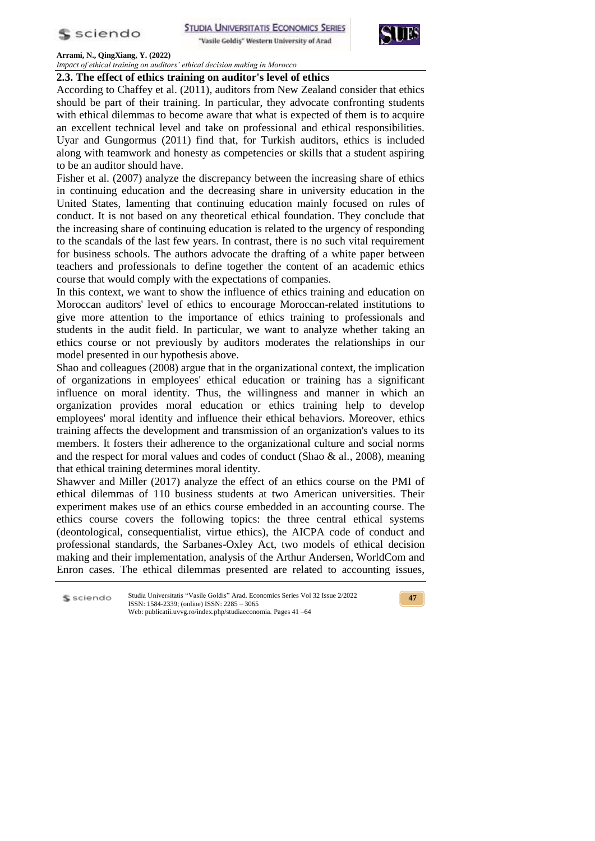

"Vasile Goldis" Western University of Arad



**Arrami, N., QingXiang, Y. (2022)**  *Impact of ethical training on auditors' ethical decision making in Morocco*

# **2.3. The effect of ethics training on auditor's level of ethics**

According to Chaffey et al. (2011), auditors from New Zealand consider that ethics should be part of their training. In particular, they advocate confronting students with ethical dilemmas to become aware that what is expected of them is to acquire an excellent technical level and take on professional and ethical responsibilities. Uyar and Gungormus (2011) find that, for Turkish auditors, ethics is included along with teamwork and honesty as competencies or skills that a student aspiring to be an auditor should have.

Fisher et al. (2007) analyze the discrepancy between the increasing share of ethics in continuing education and the decreasing share in university education in the United States, lamenting that continuing education mainly focused on rules of conduct. It is not based on any theoretical ethical foundation. They conclude that the increasing share of continuing education is related to the urgency of responding to the scandals of the last few years. In contrast, there is no such vital requirement for business schools. The authors advocate the drafting of a white paper between teachers and professionals to define together the content of an academic ethics course that would comply with the expectations of companies.

In this context, we want to show the influence of ethics training and education on Moroccan auditors' level of ethics to encourage Moroccan-related institutions to give more attention to the importance of ethics training to professionals and students in the audit field. In particular, we want to analyze whether taking an ethics course or not previously by auditors moderates the relationships in our model presented in our hypothesis above.

Shao and colleagues (2008) argue that in the organizational context, the implication of organizations in employees' ethical education or training has a significant influence on moral identity. Thus, the willingness and manner in which an organization provides moral education or ethics training help to develop employees' moral identity and influence their ethical behaviors. Moreover, ethics training affects the development and transmission of an organization's values to its members. It fosters their adherence to the organizational culture and social norms and the respect for moral values and codes of conduct (Shao  $\&$  al., 2008), meaning that ethical training determines moral identity.

Shawver and Miller (2017) analyze the effect of an ethics course on the PMI of ethical dilemmas of 110 business students at two American universities. Their experiment makes use of an ethics course embedded in an accounting course. The ethics course covers the following topics: the three central ethical systems (deontological, consequentialist, virtue ethics), the AICPA code of conduct and professional standards, the Sarbanes-Oxley Act, two models of ethical decision making and their implementation, analysis of the Arthur Andersen, WorldCom and Enron cases. The ethical dilemmas presented are related to accounting issues,

Studia Universitatis "Vasile Goldis" Arad. Economics Series Vol 32 Issue 2/2022 S sciendo ISSN: 1584-2339; (online) ISSN: 2285 – 3065 Web: publicatii.uvvg.ro/index.php/studiaeconomia. Pages 41 –64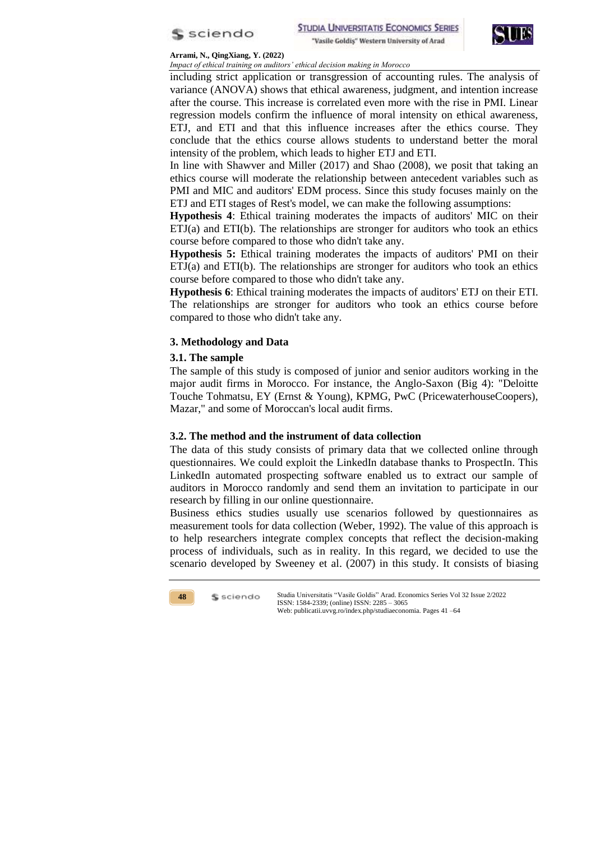



*Impact of ethical training on auditors' ethical decision making in Morocco*

including strict application or transgression of accounting rules. The analysis of variance (ANOVA) shows that ethical awareness, judgment, and intention increase after the course. This increase is correlated even more with the rise in PMI. Linear regression models confirm the influence of moral intensity on ethical awareness, ETJ, and ETI and that this influence increases after the ethics course. They conclude that the ethics course allows students to understand better the moral intensity of the problem, which leads to higher ETJ and ETI.

In line with Shawver and Miller (2017) and Shao (2008), we posit that taking an ethics course will moderate the relationship between antecedent variables such as PMI and MIC and auditors' EDM process. Since this study focuses mainly on the ETJ and ETI stages of Rest's model, we can make the following assumptions:

**Hypothesis 4**: Ethical training moderates the impacts of auditors' MIC on their ETJ(a) and ETI(b). The relationships are stronger for auditors who took an ethics course before compared to those who didn't take any.

**Hypothesis 5:** Ethical training moderates the impacts of auditors' PMI on their ETJ(a) and ETI(b). The relationships are stronger for auditors who took an ethics course before compared to those who didn't take any.

**Hypothesis 6**: Ethical training moderates the impacts of auditors' ETJ on their ETI. The relationships are stronger for auditors who took an ethics course before compared to those who didn't take any.

# **3. Methodology and Data**

## **3.1. The sample**

The sample of this study is composed of junior and senior auditors working in the major audit firms in Morocco. For instance, the Anglo-Saxon (Big 4): "Deloitte Touche Tohmatsu, EY (Ernst & Young), KPMG, PwC (PricewaterhouseCoopers), Mazar," and some of Moroccan's local audit firms.

## **3.2. The method and the instrument of data collection**

The data of this study consists of primary data that we collected online through questionnaires. We could exploit the LinkedIn database thanks to ProspectIn. This LinkedIn automated prospecting software enabled us to extract our sample of auditors in Morocco randomly and send them an invitation to participate in our research by filling in our online questionnaire.

Business ethics studies usually use scenarios followed by questionnaires as measurement tools for data collection (Weber, 1992). The value of this approach is to help researchers integrate complex concepts that reflect the decision-making process of individuals, such as in reality. In this regard, we decided to use the scenario developed by Sweeney et al. (2007) in this study. It consists of biasing

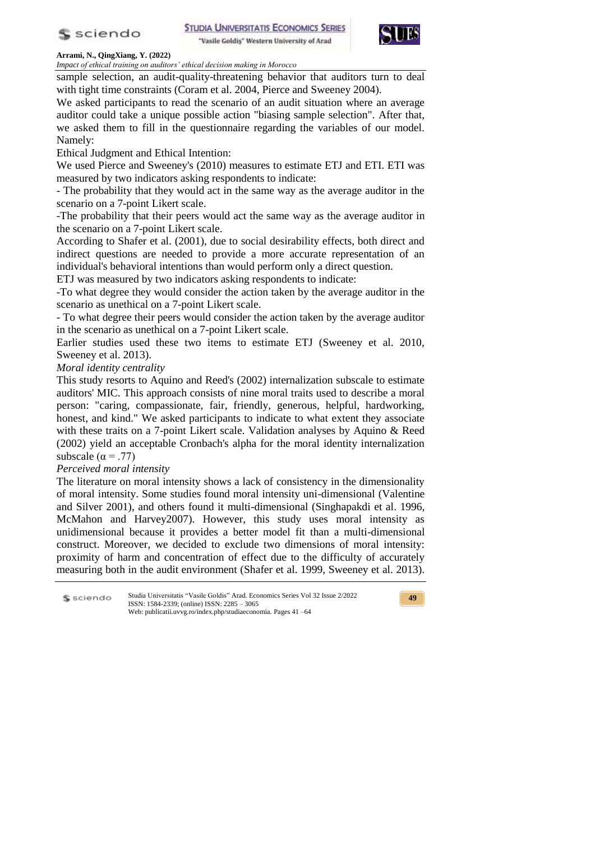

"Vasile Goldis" Western University of Arad



**Arrami, N., QingXiang, Y. (2022)** 

*Impact of ethical training on auditors' ethical decision making in Morocco*

sample selection, an audit-quality-threatening behavior that auditors turn to deal with tight time constraints (Coram et al. 2004, Pierce and Sweeney 2004).

We asked participants to read the scenario of an audit situation where an average auditor could take a unique possible action "biasing sample selection". After that, we asked them to fill in the questionnaire regarding the variables of our model. Namely:

Ethical Judgment and Ethical Intention:

We used Pierce and Sweeney's (2010) measures to estimate ETJ and ETI. ETI was measured by two indicators asking respondents to indicate:

- The probability that they would act in the same way as the average auditor in the scenario on a 7-point Likert scale.

-The probability that their peers would act the same way as the average auditor in the scenario on a 7-point Likert scale.

According to Shafer et al. (2001), due to social desirability effects, both direct and indirect questions are needed to provide a more accurate representation of an individual's behavioral intentions than would perform only a direct question.

ETJ was measured by two indicators asking respondents to indicate:

-To what degree they would consider the action taken by the average auditor in the scenario as unethical on a 7-point Likert scale.

- To what degree their peers would consider the action taken by the average auditor in the scenario as unethical on a 7-point Likert scale.

Earlier studies used these two items to estimate ETJ (Sweeney et al. 2010, Sweeney et al. 2013).

*Moral identity centrality*

This study resorts to Aquino and Reed's (2002) internalization subscale to estimate auditors' MIC. This approach consists of nine moral traits used to describe a moral person: "caring, compassionate, fair, friendly, generous, helpful, hardworking, honest, and kind." We asked participants to indicate to what extent they associate with these traits on a 7-point Likert scale. Validation analyses by Aquino & Reed (2002) yield an acceptable Cronbach's alpha for the moral identity internalization subscale ( $\alpha = .77$ )

# *Perceived moral intensity*

The literature on moral intensity shows a lack of consistency in the dimensionality of moral intensity. Some studies found moral intensity uni-dimensional (Valentine and Silver 2001), and others found it multi-dimensional (Singhapakdi et al. 1996, McMahon and Harvey2007). However, this study uses moral intensity as unidimensional because it provides a better model fit than a multi-dimensional construct. Moreover, we decided to exclude two dimensions of moral intensity: proximity of harm and concentration of effect due to the difficulty of accurately measuring both in the audit environment (Shafer et al. 1999, Sweeney et al. 2013).

Studia Universitatis "Vasile Goldis" Arad. Economics Series Vol 32 Issue 2/2022 S sciendo ISSN: 1584-2339; (online) ISSN: 2285 – 3065 Web: publicatii.uvvg.ro/index.php/studiaeconomia. Pages 41 –64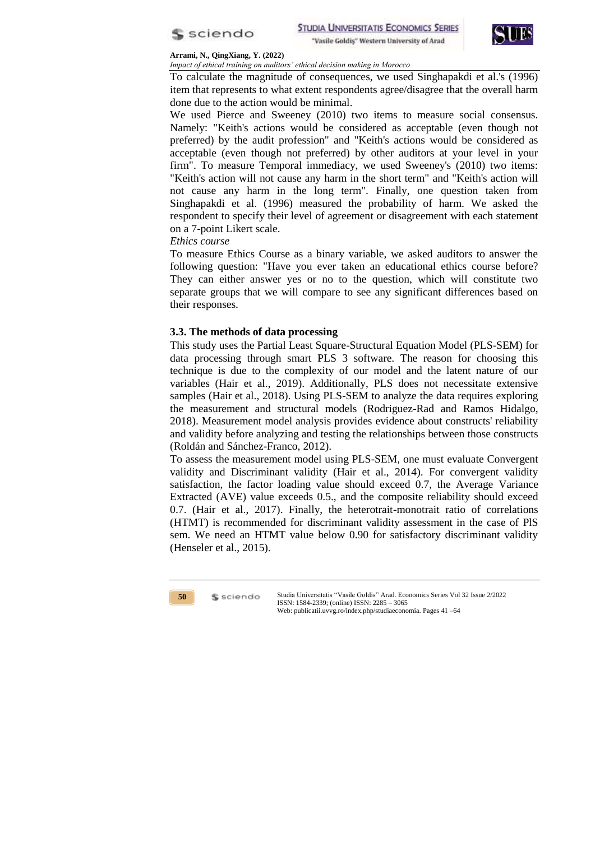



*Impact of ethical training on auditors' ethical decision making in Morocco*

To calculate the magnitude of consequences, we used Singhapakdi et al.'s (1996) item that represents to what extent respondents agree/disagree that the overall harm done due to the action would be minimal.

We used Pierce and Sweeney (2010) two items to measure social consensus. Namely: "Keith's actions would be considered as acceptable (even though not preferred) by the audit profession" and "Keith's actions would be considered as acceptable (even though not preferred) by other auditors at your level in your firm". To measure Temporal immediacy, we used Sweeney's (2010) two items: "Keith's action will not cause any harm in the short term" and "Keith's action will not cause any harm in the long term". Finally, one question taken from Singhapakdi et al. (1996) measured the probability of harm. We asked the respondent to specify their level of agreement or disagreement with each statement on a 7-point Likert scale.

## *Ethics course*

To measure Ethics Course as a binary variable, we asked auditors to answer the following question: "Have you ever taken an educational ethics course before? They can either answer yes or no to the question, which will constitute two separate groups that we will compare to see any significant differences based on their responses.

# **3.3. The methods of data processing**

This study uses the Partial Least Square-Structural Equation Model (PLS-SEM) for data processing through smart PLS 3 software. The reason for choosing this technique is due to the complexity of our model and the latent nature of our variables (Hair et al., 2019). Additionally, PLS does not necessitate extensive samples (Hair et al., 2018). Using PLS-SEM to analyze the data requires exploring the measurement and structural models (Rodriguez-Rad and Ramos Hidalgo, 2018). Measurement model analysis provides evidence about constructs' reliability and validity before analyzing and testing the relationships between those constructs (Roldán and Sánchez-Franco, 2012).

To assess the measurement model using PLS-SEM, one must evaluate Convergent validity and Discriminant validity (Hair et al., 2014). For convergent validity satisfaction, the factor loading value should exceed 0.7, the Average Variance Extracted (AVE) value exceeds 0.5., and the composite reliability should exceed 0.7. (Hair et al., 2017). Finally, the heterotrait-monotrait ratio of correlations (HTMT) is recommended for discriminant validity assessment in the case of PlS sem. We need an HTMT value below 0.90 for satisfactory discriminant validity (Henseler et al., 2015).



\$ sciendo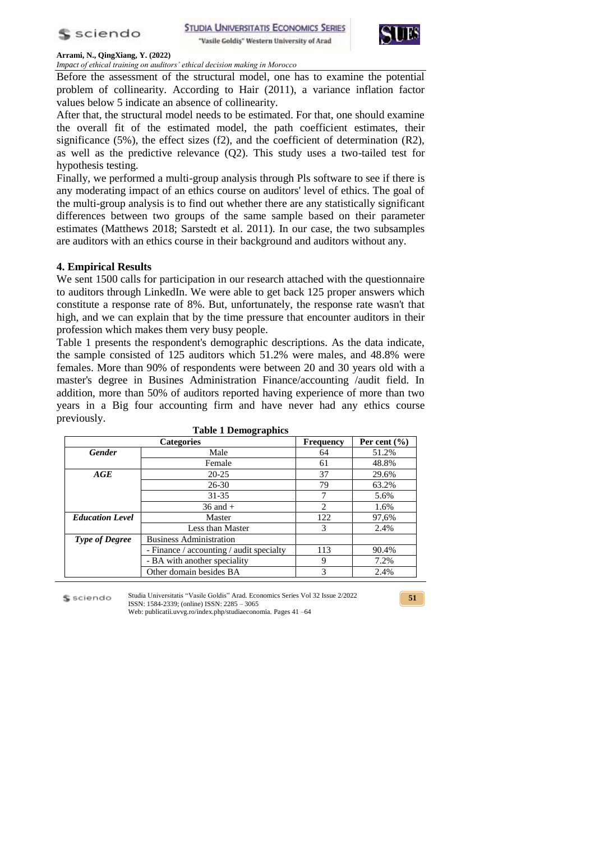



*Impact of ethical training on auditors' ethical decision making in Morocco*

Before the assessment of the structural model, one has to examine the potential problem of collinearity. According to Hair (2011), a variance inflation factor values below 5 indicate an absence of collinearity.

After that, the structural model needs to be estimated. For that, one should examine the overall fit of the estimated model, the path coefficient estimates, their significance  $(5\%)$ , the effect sizes  $(f2)$ , and the coefficient of determination  $(R2)$ , as well as the predictive relevance (Q2). This study uses a two-tailed test for hypothesis testing.

Finally, we performed a multi-group analysis through Pls software to see if there is any moderating impact of an ethics course on auditors' level of ethics. The goal of the multi-group analysis is to find out whether there are any statistically significant differences between two groups of the same sample based on their parameter estimates (Matthews 2018; Sarstedt et al. 2011). In our case, the two subsamples are auditors with an ethics course in their background and auditors without any.

## **4. Empirical Results**

We sent 1500 calls for participation in our research attached with the questionnaire to auditors through LinkedIn. We were able to get back 125 proper answers which constitute a response rate of 8%. But, unfortunately, the response rate wasn't that high, and we can explain that by the time pressure that encounter auditors in their profession which makes them very busy people.

Table 1 presents the respondent's demographic descriptions. As the data indicate, the sample consisted of 125 auditors which 51.2% were males, and 48.8% were females. More than 90% of respondents were between 20 and 30 years old with a master's degree in Busines Administration Finance/accounting /audit field. In addition, more than 50% of auditors reported having experience of more than two years in a Big four accounting firm and have never had any ethics course previously.

| <b>Categories</b><br>Per cent $(\% )$<br><b>Frequency</b> |                                          |     |       |  |
|-----------------------------------------------------------|------------------------------------------|-----|-------|--|
| <b>Gender</b>                                             | Male                                     | 64  | 51.2% |  |
|                                                           | Female                                   | 61  | 48.8% |  |
| AGE                                                       | $20 - 25$                                | 37  | 29.6% |  |
|                                                           | $26 - 30$                                | 79  | 63.2% |  |
|                                                           | $31 - 35$                                |     | 5.6%  |  |
|                                                           | $36$ and $+$                             |     | 1.6%  |  |
| <b>Education Level</b>                                    | Master                                   | 122 | 97,6% |  |
|                                                           | Less than Master                         | 3   | 2.4%  |  |
| <b>Type of Degree</b>                                     | <b>Business Administration</b>           |     |       |  |
|                                                           | - Finance / accounting / audit specialty |     | 90.4% |  |
|                                                           | - BA with another speciality             | 9   | 7.2%  |  |
|                                                           | Other domain besides BA                  | 3   | 2.4%  |  |

**Table 1 Demographics**

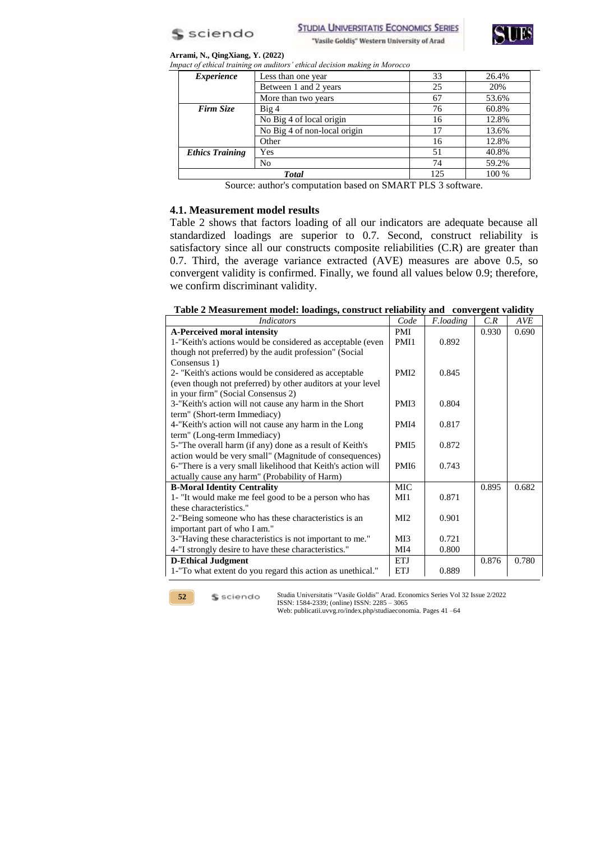

**STUDIA UNIVERSITATIS ECONOMICS SERIES** "Vasile Goldiş" Western University of Arad



### **Arrami, N., QingXiang, Y. (2022)**

| Impact of ethical training on auditors' ethical decision making in Morocco |                              |     |       |  |  |  |  |
|----------------------------------------------------------------------------|------------------------------|-----|-------|--|--|--|--|
| <i>Experience</i>                                                          | Less than one year           | 33  | 26.4% |  |  |  |  |
|                                                                            | Between 1 and 2 years        | 25  | 20%   |  |  |  |  |
|                                                                            | More than two years          | 67  | 53.6% |  |  |  |  |
| Firm Size                                                                  | Big <sub>4</sub>             | 76  | 60.8% |  |  |  |  |
|                                                                            | No Big 4 of local origin     |     | 12.8% |  |  |  |  |
|                                                                            | No Big 4 of non-local origin |     | 13.6% |  |  |  |  |
|                                                                            | Other                        | 16  | 12.8% |  |  |  |  |
| <b>Ethics Training</b>                                                     | Yes                          | 51  | 40.8% |  |  |  |  |
|                                                                            | No                           | 74  | 59.2% |  |  |  |  |
|                                                                            | <b>Total</b>                 | 125 | 100 % |  |  |  |  |

Source: author's computation based on SMART PLS 3 software.

### **4.1. Measurement model results**

Table 2 shows that factors loading of all our indicators are adequate because all standardized loadings are superior to 0.7. Second, construct reliability is satisfactory since all our constructs composite reliabilities (C.R) are greater than 0.7. Third, the average variance extracted (AVE) measures are above 0.5, so convergent validity is confirmed. Finally, we found all values below 0.9; therefore, we confirm discriminant validity.

### **Table 2 Measurement model: loadings, construct reliability and convergent validity**

| <i>Indicators</i>                                            | Code             | F.loading | C.R   | <b>AVE</b> |
|--------------------------------------------------------------|------------------|-----------|-------|------------|
| A-Perceived moral intensity                                  | PMI              |           | 0.930 | 0.690      |
| 1-"Keith's actions would be considered as acceptable (even   | PMI1             | 0.892     |       |            |
| though not preferred) by the audit profession" (Social       |                  |           |       |            |
| Consensus 1)                                                 |                  |           |       |            |
| 2- "Keith's actions would be considered as acceptable        | PMI <sub>2</sub> | 0.845     |       |            |
| (even though not preferred) by other auditors at your level  |                  |           |       |            |
| in your firm" (Social Consensus 2)                           |                  |           |       |            |
| 3-"Keith's action will not cause any harm in the Short       | PMI3             | 0.804     |       |            |
| term" (Short-term Immediacy)                                 |                  |           |       |            |
| 4-"Keith's action will not cause any harm in the Long        | PMI4             | 0.817     |       |            |
| term" (Long-term Immediacy)                                  |                  |           |       |            |
| 5-"The overall harm (if any) done as a result of Keith's     | PMI <sub>5</sub> | 0.872     |       |            |
| action would be very small" (Magnitude of consequences)      |                  |           |       |            |
| 6-"There is a very small likelihood that Keith's action will | PM <sub>I6</sub> | 0.743     |       |            |
| actually cause any harm" (Probability of Harm)               |                  |           |       |            |
| <b>B-Moral Identity Centrality</b>                           | <b>MIC</b>       |           | 0.895 | 0.682      |
| 1- "It would make me feel good to be a person who has        | MI1              | 0.871     |       |            |
| these characteristics."                                      |                  |           |       |            |
| 2-"Being someone who has these characteristics is an         |                  | 0.901     |       |            |
| important part of who I am."                                 |                  |           |       |            |
| 3-"Having these characteristics is not important to me."     | MI3              | 0.721     |       |            |
| 4-"I strongly desire to have these characteristics."         | MI4              | 0.800     |       |            |
| <b>D-Ethical Judgment</b>                                    | ETJ              |           | 0.876 | 0.780      |
| 1-"To what extent do you regard this action as unethical."   | <b>ETJ</b>       | 0.889     |       |            |

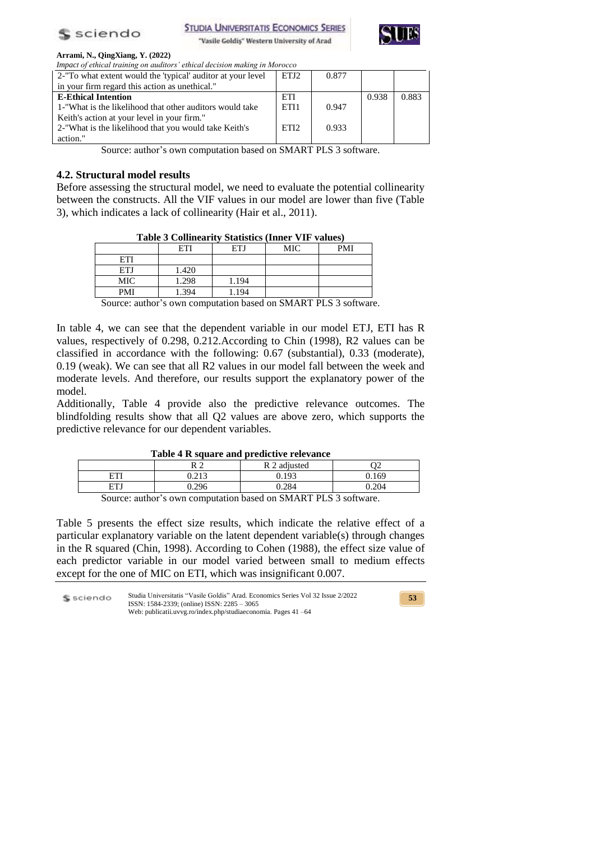

**STUDIA UNIVERSITATIS ECONOMICS SERIES** 

"Vasile Goldiş" Western University of Arad



### **Arrami, N., QingXiang, Y. (2022)**

| Impact of ethical training on auditors' ethical decision making in Morocco      |                  |       |       |       |  |  |
|---------------------------------------------------------------------------------|------------------|-------|-------|-------|--|--|
| 2-"To what extent would the 'typical' auditor at your level<br>ETJ <sub>2</sub> |                  | 0.877 |       |       |  |  |
| in your firm regard this action as unethical."                                  |                  |       |       |       |  |  |
| <b>E-Ethical Intention</b>                                                      | ETI              |       | 0.938 | 0.883 |  |  |
| 1-"What is the likelihood that other auditors would take                        | ETI1             | 0.947 |       |       |  |  |
| Keith's action at your level in your firm."                                     |                  |       |       |       |  |  |
| 2-"What is the likelihood that you would take Keith's                           | ETI <sub>2</sub> | 0.933 |       |       |  |  |
| action."                                                                        |                  |       |       |       |  |  |

Source: author's own computation based on SMART PLS 3 software.

## **4.2. Structural model results**

Before assessing the structural model, we need to evaluate the potential collinearity between the constructs. All the VIF values in our model are lower than five (Table 3), which indicates a lack of collinearity (Hair et al., 2011).

|            | ETI   | ETJ   | MIC | PMI |
|------------|-------|-------|-----|-----|
| ETI        |       |       |     |     |
| <b>ETJ</b> | 1.420 |       |     |     |
| MIC        | 1.298 | 1.194 |     |     |
| <b>PMI</b> | 1.394 | 1.194 |     |     |

Source: author's own computation based on SMART PLS 3 software.

In table 4, we can see that the dependent variable in our model ETJ, ETI has R values, respectively of 0.298, 0.212.According to Chin (1998), R2 values can be classified in accordance with the following: 0.67 (substantial), 0.33 (moderate), 0.19 (weak). We can see that all R2 values in our model fall between the week and moderate levels. And therefore, our results support the explanatory power of the model.

Additionally, Table 4 provide also the predictive relevance outcomes. The blindfolding results show that all Q2 values are above zero, which supports the predictive relevance for our dependent variables.

| Table 4 R square and predictive relevance |  |
|-------------------------------------------|--|
|-------------------------------------------|--|

|                | ^ ^            | R 2 adjusted                                        |                 |
|----------------|----------------|-----------------------------------------------------|-----------------|
| гm             | 212<br>∪.∠ ⊥ J | 0.193                                               | 169             |
| ETJ            | 206<br>v.∠⁄v   | 0.284                                               | 20 <sup>2</sup> |
| $\sim$<br>- 11 | $\cdot$        | $\alpha$ $\alpha$ $\beta$ $\alpha$ $\beta$ $\alpha$ | $\sim$          |

Source: author's own computation based on SMART PLS 3 software.

Table 5 presents the effect size results, which indicate the relative effect of a particular explanatory variable on the latent dependent variable(s) through changes in the R squared (Chin, 1998). According to Cohen (1988), the effect size value of each predictor variable in our model varied between small to medium effects except for the one of MIC on ETI, which was insignificant 0.007.

Studia Universitatis "Vasile Goldis" Arad. Economics Series Vol 32 Issue 2/2022 S sciendo ISSN: 1584-2339; (online) ISSN: 2285 – 3065 Web: publicatii.uvvg.ro/index.php/studiaeconomia. Pages 41 –64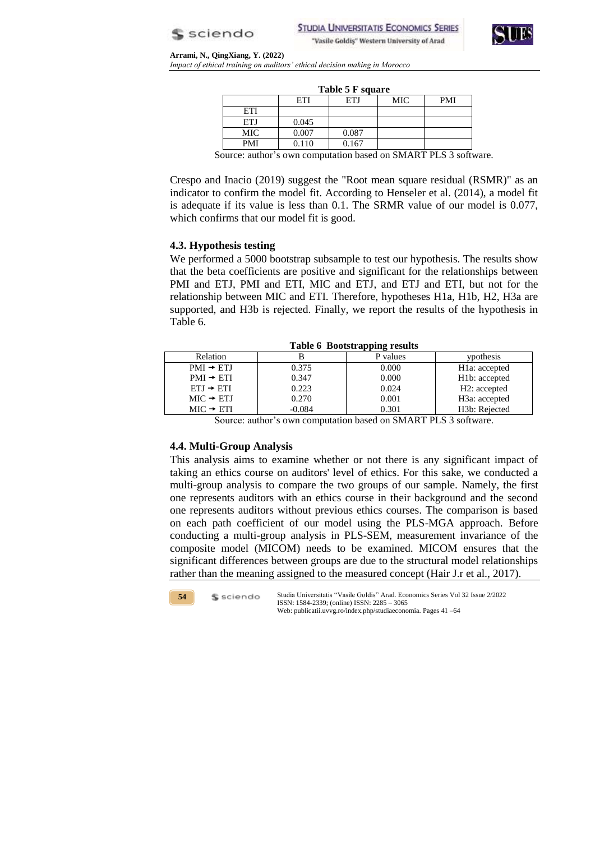



**Arrami, N., QingXiang, Y. (2022)**  *Impact of ethical training on auditors' ethical decision making in Morocco*

| Table 5 F square               |       |               |     |                                                                   |  |
|--------------------------------|-------|---------------|-----|-------------------------------------------------------------------|--|
|                                | ETI   | ETJ           | MIC | <b>PMI</b>                                                        |  |
| ETI                            |       |               |     |                                                                   |  |
| ETJ                            | 0.045 |               |     |                                                                   |  |
| MIC                            | 0.007 | 0.087         |     |                                                                   |  |
| <b>PMI</b>                     | 0.110 | 0.167         |     |                                                                   |  |
| $\sim$<br>$\ddot{\phantom{1}}$ |       | . .<br>$\sim$ |     | $\sim$<br>$\sim$ $\sim$ $\sim$ $\sim$ $\sim$ $\sim$ $\sim$ $\sim$ |  |

Source: author's own computation based on SMART PLS 3 software.

Crespo and Inacio (2019) suggest the "Root mean square residual (RSMR)" as an indicator to confirm the model fit. According to Henseler et al. (2014), a model fit is adequate if its value is less than 0.1. The SRMR value of our model is 0.077, which confirms that our model fit is good.

## **4.3. Hypothesis testing**

We performed a 5000 bootstrap subsample to test our hypothesis. The results show that the beta coefficients are positive and significant for the relationships between PMI and ETJ, PMI and ETI, MIC and ETJ, and ETJ and ETI, but not for the relationship between MIC and ETI. Therefore, hypotheses H1a, H1b, H2, H3a are supported, and H3b is rejected. Finally, we report the results of the hypothesis in Table 6.

| Lable v Dootstrapping results |          |          |                            |  |  |  |
|-------------------------------|----------|----------|----------------------------|--|--|--|
| Relation                      |          | P values | ypothesis                  |  |  |  |
| $PMI \rightarrow ETJ$         | 0.375    | 0.000    | H <sub>1</sub> a: accepted |  |  |  |
| $PMI \rightarrow ETI$         | 0.347    | 0.000    | H <sub>1</sub> b: accepted |  |  |  |
| $ETJ \rightarrow ETI$         | 0.223    | 0.024    | H <sub>2</sub> : accepted  |  |  |  |
| $MIC \rightarrow ETJ$         | 0.270    | 0.001    | H <sub>3</sub> a: accepted |  |  |  |
| $MIC + ETI$                   | $-0.084$ | 0.301    | H <sub>3</sub> b: Rejected |  |  |  |

**Table 6 Bootstrapping results**

Source: author's own computation based on SMART PLS 3 software.

## **4.4. Multi-Group Analysis**

This analysis aims to examine whether or not there is any significant impact of taking an ethics course on auditors' level of ethics. For this sake, we conducted a multi-group analysis to compare the two groups of our sample. Namely, the first one represents auditors with an ethics course in their background and the second one represents auditors without previous ethics courses. The comparison is based on each path coefficient of our model using the PLS-MGA approach. Before conducting a multi-group analysis in PLS-SEM, measurement invariance of the composite model (MICOM) needs to be examined. MICOM ensures that the significant differences between groups are due to the structural model relationships rather than the meaning assigned to the measured concept (Hair J.r et al., 2017).

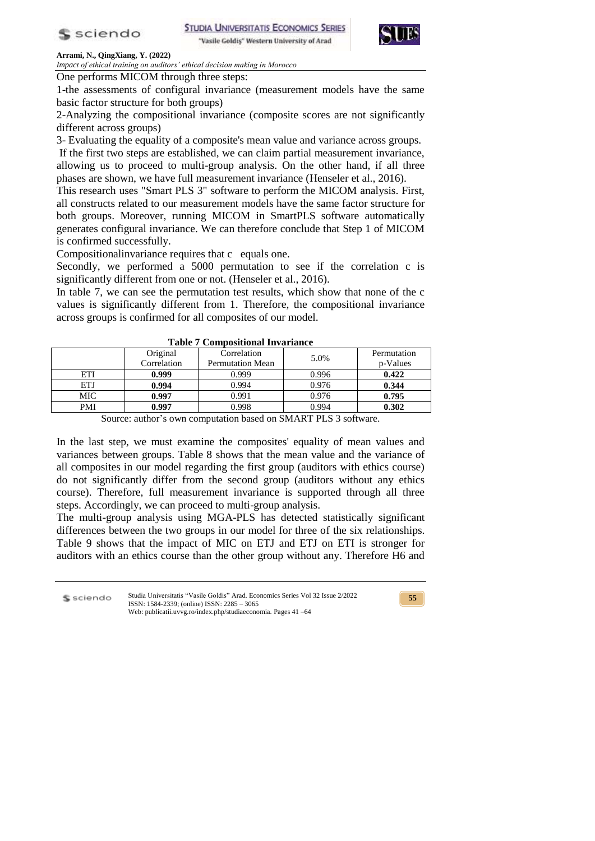



*Impact of ethical training on auditors' ethical decision making in Morocco*

One performs MICOM through three steps:

1-the assessments of configural invariance (measurement models have the same basic factor structure for both groups)

2-Analyzing the compositional invariance (composite scores are not significantly different across groups)

3- Evaluating the equality of a composite's mean value and variance across groups.

If the first two steps are established, we can claim partial measurement invariance, allowing us to proceed to multi-group analysis. On the other hand, if all three phases are shown, we have full measurement invariance (Henseler et al., 2016).

This research uses "Smart PLS 3" software to perform the MICOM analysis. First, all constructs related to our measurement models have the same factor structure for both groups. Moreover, running MICOM in SmartPLS software automatically generates configural invariance. We can therefore conclude that Step 1 of MICOM is confirmed successfully.

Compositionalinvariance requires that c equals one.

Secondly, we performed a 5000 permutation to see if the correlation c is significantly different from one or not. (Henseler et al., 2016).

In table 7, we can see the permutation test results, which show that none of the c values is significantly different from 1. Therefore, the compositional invariance across groups is confirmed for all composites of our model.

|            | Original    | Correlation             | 5.0%  | Permutation |  |  |
|------------|-------------|-------------------------|-------|-------------|--|--|
|            | Correlation | <b>Permutation Mean</b> |       | p-Values    |  |  |
| ETI        | 0.999       | 0.999                   | 0.996 | 0.422       |  |  |
| ETJ        | 0.994       | 0.994                   | 0.976 | 0.344       |  |  |
| MIC        | 0.997       | 0.991                   | 0.976 | 0.795       |  |  |
| <b>PMI</b> | 0.997       | 0.998                   | 0.994 | 0.302       |  |  |
|            |             |                         |       |             |  |  |

**Table 7 Compositional Invariance** 

Source: author's own computation based on SMART PLS 3 software.

In the last step, we must examine the composites' equality of mean values and variances between groups. Table 8 shows that the mean value and the variance of all composites in our model regarding the first group (auditors with ethics course) do not significantly differ from the second group (auditors without any ethics course). Therefore, full measurement invariance is supported through all three steps. Accordingly, we can proceed to multi-group analysis.

The multi-group analysis using MGA-PLS has detected statistically significant differences between the two groups in our model for three of the six relationships. Table 9 shows that the impact of MIC on ETJ and ETJ on ETI is stronger for auditors with an ethics course than the other group without any. Therefore H6 and

Studia Universitatis "Vasile Goldis" Arad. Economics Series Vol 32 Issue 2/2022 S sciendo ISSN: 1584-2339; (online) ISSN: 2285 – 3065 Web: publicatii.uvvg.ro/index.php/studiaeconomia. Pages 41 –64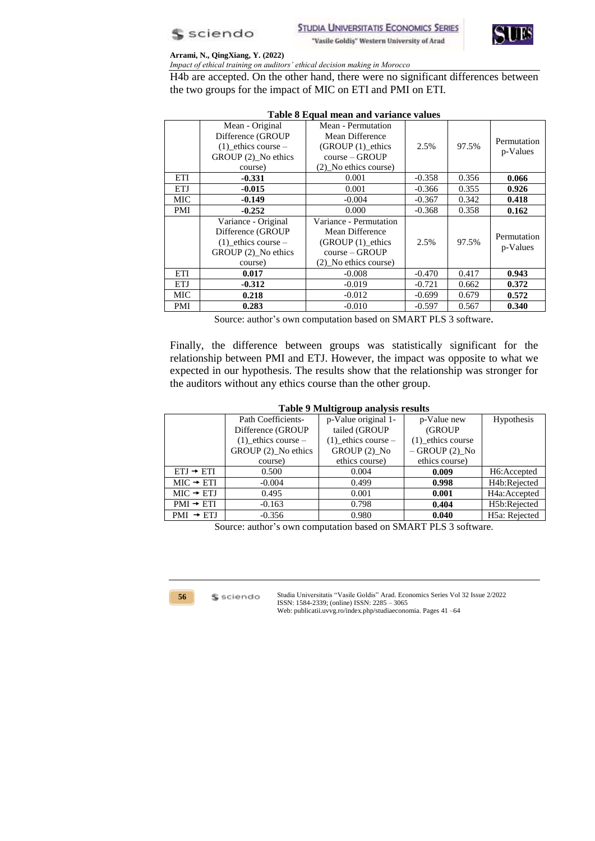



*Impact of ethical training on auditors' ethical decision making in Morocco*

H4b are accepted. On the other hand, there were no significant differences between the two groups for the impact of MIC on ETI and PMI on ETI.

|            | Table 8 Equal mean and variance values |                        |          |       |             |  |
|------------|----------------------------------------|------------------------|----------|-------|-------------|--|
|            | Mean - Original                        | Mean - Permutation     |          |       |             |  |
|            | Difference (GROUP                      | Mean Difference        |          |       | Permutation |  |
|            | $(1)$ ethics course –                  | (GROUP (1)_ethics      | 2.5%     | 97.5% |             |  |
|            | GROUP (2) No ethics                    | $course - GROUP$       |          |       | p-Values    |  |
|            | course)                                | (2) No ethics course)  |          |       |             |  |
| ETI        | $-0.331$                               | 0.001                  | $-0.358$ | 0.356 | 0.066       |  |
| <b>ETJ</b> | $-0.015$                               | 0.001                  | $-0.366$ | 0.355 | 0.926       |  |
| MIC        | $-0.149$                               | $-0.004$               | $-0.367$ | 0.342 | 0.418       |  |
| PMI        | $-0.252$                               | 0.000                  | $-0.368$ | 0.358 | 0.162       |  |
|            | Variance - Original                    | Variance - Permutation |          |       |             |  |
|            | Difference (GROUP                      | Mean Difference        |          |       | Permutation |  |
|            | $(1)$ ethics course –                  | $(GROUP(1))$ ethics    | 2.5%     | 97.5% |             |  |
|            | GROUP (2) No ethics                    | $course - GROUP$       |          |       | p-Values    |  |
|            | course)                                | (2) No ethics course)  |          |       |             |  |
| ETI        | 0.017                                  | $-0.008$               | $-0.470$ | 0.417 | 0.943       |  |
| <b>ETJ</b> | $-0.312$                               | $-0.019$               | $-0.721$ | 0.662 | 0.372       |  |
| MIC        | 0.218                                  | $-0.012$               | $-0.699$ | 0.679 | 0.572       |  |
| <b>PMI</b> | 0.283                                  | $-0.010$               | $-0.597$ | 0.567 | 0.340       |  |

## **Table 8 Equal mean and variance values**

Source: author's own computation based on SMART PLS 3 software*.*

Finally, the difference between groups was statistically significant for the relationship between PMI and ETJ. However, the impact was opposite to what we expected in our hypothesis. The results show that the relationship was stronger for the auditors without any ethics course than the other group.

## **Table 9 Multigroup analysis results**

|                       | Path Coefficients-    | p-Value original 1-   | p-Value new       | <b>Hypothesis</b>         |
|-----------------------|-----------------------|-----------------------|-------------------|---------------------------|
|                       | Difference (GROUP     | tailed (GROUP         | (GROUP)           |                           |
|                       | $(1)$ ethics course – | $(1)$ ethics course – | (1) ethics course |                           |
|                       | GROUP (2) No ethics   | GROUP (2) No          | $-$ GROUP (2) No  |                           |
|                       | course)               | ethics course)        | ethics course)    |                           |
| $ETJ \rightarrow ETI$ | 0.500                 | 0.004                 | 0.009             | H <sub>6</sub> : Accepted |
| $MIC \rightarrow ETI$ | $-0.004$              | 0.499                 | 0.998             | H <sub>4</sub> b:Rejected |
| $MIC + ETJ$           | 0.495                 | 0.001                 | 0.001             | H4a:Accepted              |
| $PMI \rightarrow ETI$ | $-0.163$              | 0.798                 | 0.404             | H5b:Rejected              |
| $PMI \rightarrow ETJ$ | $-0.356$              | 0.980                 | 0.040             | H5a: Rejected             |

Source: author's own computation based on SMART PLS 3 software.



\$ sciendo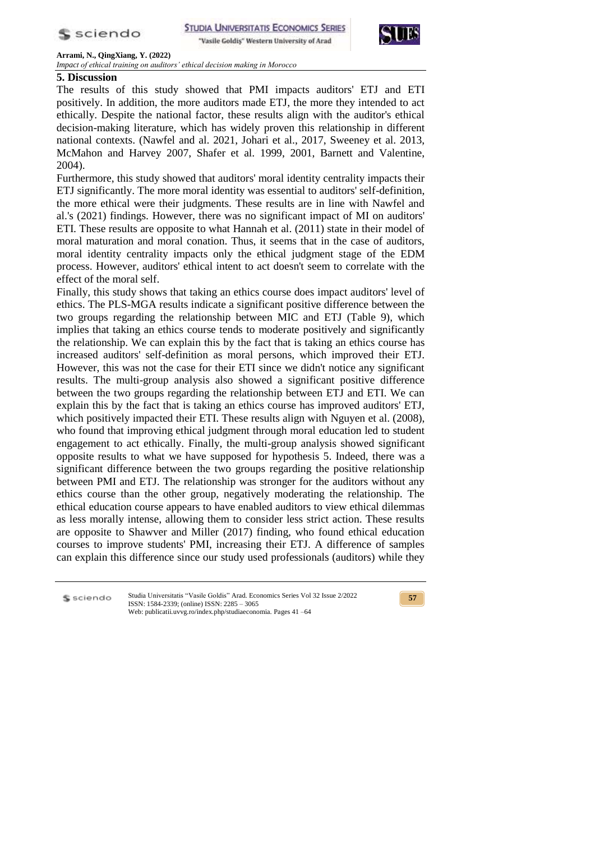

**STUDIA UNIVERSITATIS ECONOMICS SERIES** "Vasile Goldis" Western University of Arad



**Arrami, N., QingXiang, Y. (2022)** 

*Impact of ethical training on auditors' ethical decision making in Morocco*

# **5. Discussion**

The results of this study showed that PMI impacts auditors' ETJ and ETI positively. In addition, the more auditors made ETJ, the more they intended to act ethically. Despite the national factor, these results align with the auditor's ethical decision-making literature, which has widely proven this relationship in different national contexts. (Nawfel and al. 2021, Johari et al., 2017, Sweeney et al. 2013, McMahon and Harvey 2007, Shafer et al. 1999, 2001, Barnett and Valentine, 2004).

Furthermore, this study showed that auditors' moral identity centrality impacts their ETJ significantly. The more moral identity was essential to auditors' self-definition, the more ethical were their judgments. These results are in line with Nawfel and al.'s (2021) findings. However, there was no significant impact of MI on auditors' ETI. These results are opposite to what Hannah et al. (2011) state in their model of moral maturation and moral conation. Thus, it seems that in the case of auditors, moral identity centrality impacts only the ethical judgment stage of the EDM process. However, auditors' ethical intent to act doesn't seem to correlate with the effect of the moral self.

Finally, this study shows that taking an ethics course does impact auditors' level of ethics. The PLS-MGA results indicate a significant positive difference between the two groups regarding the relationship between MIC and ETJ (Table 9), which implies that taking an ethics course tends to moderate positively and significantly the relationship. We can explain this by the fact that is taking an ethics course has increased auditors' self-definition as moral persons, which improved their ETJ. However, this was not the case for their ETI since we didn't notice any significant results. The multi-group analysis also showed a significant positive difference between the two groups regarding the relationship between ETJ and ETI. We can explain this by the fact that is taking an ethics course has improved auditors' ETJ, which positively impacted their ETI. These results align with Nguyen et al. (2008), who found that improving ethical judgment through moral education led to student engagement to act ethically. Finally, the multi-group analysis showed significant opposite results to what we have supposed for hypothesis 5. Indeed, there was a significant difference between the two groups regarding the positive relationship between PMI and ETJ. The relationship was stronger for the auditors without any ethics course than the other group, negatively moderating the relationship. The ethical education course appears to have enabled auditors to view ethical dilemmas as less morally intense, allowing them to consider less strict action. These results are opposite to Shawver and Miller (2017) finding, who found ethical education courses to improve students' PMI, increasing their ETJ. A difference of samples can explain this difference since our study used professionals (auditors) while they

S sciendo

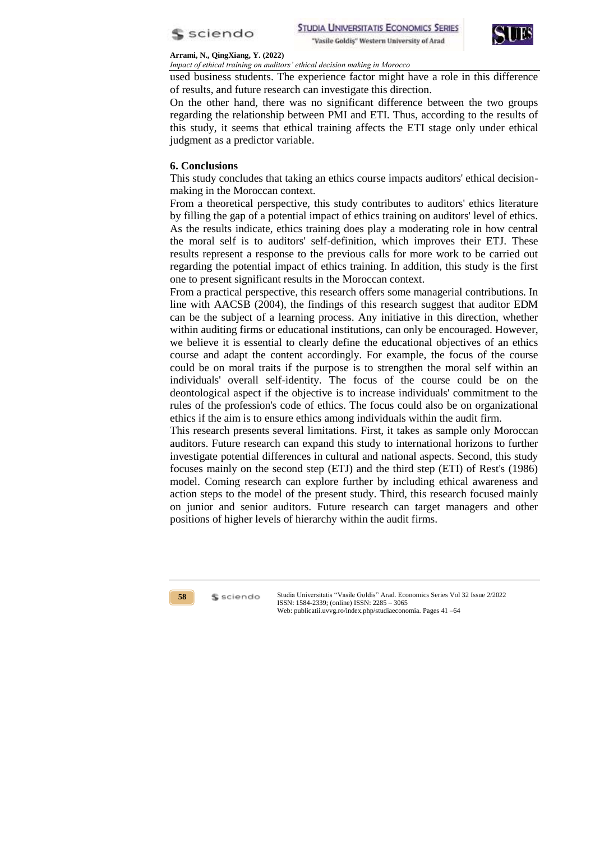



*Impact of ethical training on auditors' ethical decision making in Morocco*

used business students. The experience factor might have a role in this difference of results, and future research can investigate this direction.

On the other hand, there was no significant difference between the two groups regarding the relationship between PMI and ETI. Thus, according to the results of this study, it seems that ethical training affects the ETI stage only under ethical judgment as a predictor variable.

## **6. Conclusions**

This study concludes that taking an ethics course impacts auditors' ethical decisionmaking in the Moroccan context.

From a theoretical perspective, this study contributes to auditors' ethics literature by filling the gap of a potential impact of ethics training on auditors' level of ethics. As the results indicate, ethics training does play a moderating role in how central the moral self is to auditors' self-definition, which improves their ETJ. These results represent a response to the previous calls for more work to be carried out regarding the potential impact of ethics training. In addition, this study is the first one to present significant results in the Moroccan context.

From a practical perspective, this research offers some managerial contributions. In line with AACSB (2004), the findings of this research suggest that auditor EDM can be the subject of a learning process. Any initiative in this direction, whether within auditing firms or educational institutions, can only be encouraged. However, we believe it is essential to clearly define the educational objectives of an ethics course and adapt the content accordingly. For example, the focus of the course could be on moral traits if the purpose is to strengthen the moral self within an individuals' overall self-identity. The focus of the course could be on the deontological aspect if the objective is to increase individuals' commitment to the rules of the profession's code of ethics. The focus could also be on organizational ethics if the aim is to ensure ethics among individuals within the audit firm.

This research presents several limitations. First, it takes as sample only Moroccan auditors. Future research can expand this study to international horizons to further investigate potential differences in cultural and national aspects. Second, this study focuses mainly on the second step (ETJ) and the third step (ETI) of Rest's (1986) model. Coming research can explore further by including ethical awareness and action steps to the model of the present study. Third, this research focused mainly on junior and senior auditors. Future research can target managers and other positions of higher levels of hierarchy within the audit firms.



\$ sciendo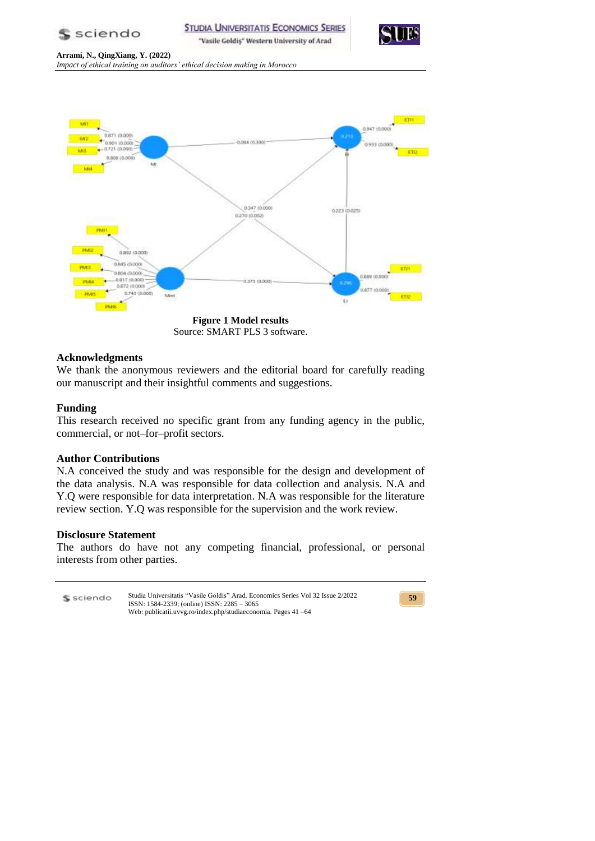



**Arrami, N., QingXiang, Y. (2022)**  *Impact of ethical training on auditors' ethical decision making in Morocco*



Source: SMART PLS 3 software.

# **Acknowledgments**

We thank the anonymous reviewers and the editorial board for carefully reading our manuscript and their insightful comments and suggestions.

# **Funding**

This research received no specific grant from any funding agency in the public, commercial, or not–for–profit sectors.

# **Author Contributions**

N.A conceived the study and was responsible for the design and development of the data analysis. N.A was responsible for data collection and analysis. N.A and Y.Q were responsible for data interpretation. N.A was responsible for the literature review section. Y.Q was responsible for the supervision and the work review.

# **Disclosure Statement**

The authors do have not any competing financial, professional, or personal interests from other parties.

Studia Universitatis "Vasile Goldis" Arad. Economics Series Vol 32 Issue 2/2022 S sciendo ISSN: 1584-2339; (online) ISSN: 2285 – 3065 Web: publicatii.uvvg.ro/index.php/studiaeconomia. Pages 41 –64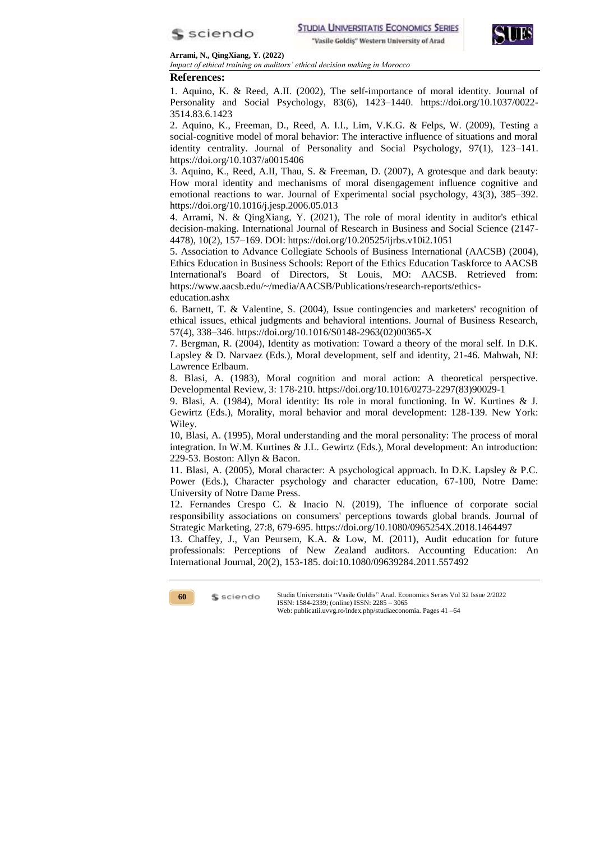



*Impact of ethical training on auditors' ethical decision making in Morocco*

**References:**

1. Aquino, K. & Reed, A.II. (2002), The self-importance of moral identity. Journal of Personality and Social Psychology, 83(6), 1423–1440. https://doi.org/10.1037/0022- 3514.83.6.1423

2. Aquino, K., Freeman, D., Reed, A. I.I., Lim, V.K.G. & Felps, W. (2009), Testing a social-cognitive model of moral behavior: The interactive influence of situations and moral identity centrality. Journal of Personality and Social Psychology, 97(1), 123–141. https://doi.org/10.1037/a0015406

3. Aquino, K., Reed, A.II, Thau, S. & Freeman, D. (2007), A grotesque and dark beauty: How moral identity and mechanisms of moral disengagement influence cognitive and emotional reactions to war. Journal of Experimental social psychology, 43(3), 385–392. https://doi.org/10.1016/j.jesp.2006.05.013

4. Arrami, N. & QingXiang, Y. (2021), The role of moral identity in auditor's ethical decision-making. International Journal of Research in Business and Social Science (2147- 4478), 10(2), 157–169. DOI: https://doi.org/10.20525/ijrbs.v10i2.1051

5. Association to Advance Collegiate Schools of Business International (AACSB) (2004), Ethics Education in Business Schools: Report of the Ethics Education Taskforce to AACSB International's Board of Directors, St Louis, MO: AACSB. Retrieved from: https://www.aacsb.edu/~/media/AACSB/Publications/research-reports/ethicseducation.ashx

6. Barnett, T. & Valentine, S. (2004), Issue contingencies and marketers' recognition of ethical issues, ethical judgments and behavioral intentions. Journal of Business Research, 57(4), 338–346. https://doi.org/10.1016/S0148-2963(02)00365-X

7. Bergman, R. (2004), Identity as motivation: Toward a theory of the moral self. In D.K. Lapsley & D. Narvaez (Eds.), Moral development, self and identity, 21-46. Mahwah, NJ: Lawrence Erlbaum.

8. Blasi, A. (1983), Moral cognition and moral action: A theoretical perspective. Developmental Review, 3: 178-210. https://doi.org/10.1016/0273-2297(83)90029-1

9. Blasi, A. (1984), Moral identity: Its role in moral functioning. In W. Kurtines & J. Gewirtz (Eds.), Morality, moral behavior and moral development: 128-139. New York: Wiley.

10, Blasi, A. (1995), Moral understanding and the moral personality: The process of moral integration. In W.M. Kurtines & J.L. Gewirtz (Eds.), Moral development: An introduction: 229-53. Boston: Allyn & Bacon.

11. Blasi, A. (2005), Moral character: A psychological approach. In D.K. Lapsley & P.C. Power (Eds.), Character psychology and character education, 67-100, Notre Dame: University of Notre Dame Press.

12. Fernandes Crespo C. & Inacio N. (2019), The influence of corporate social responsibility associations on consumers' perceptions towards global brands. Journal of Strategic Marketing, 27:8, 679-695. https://doi.org/10.1080/0965254X.2018.1464497

13. Chaffey, J., Van Peursem, K.A. & Low, M. (2011), Audit education for future professionals: Perceptions of New Zealand auditors. Accounting Education: An International Journal, 20(2), 153-185. doi:10.1080/09639284.2011.557492

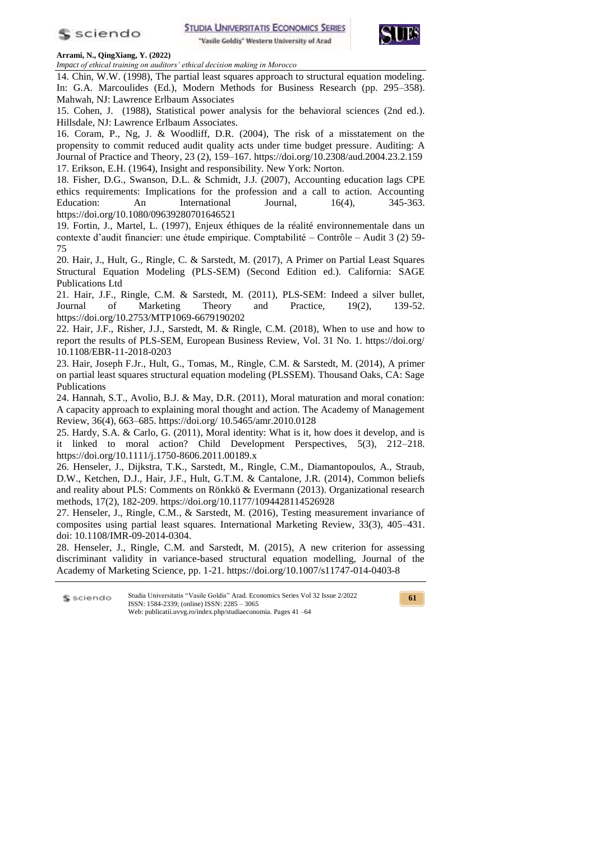

"Vasile Goldiş" Western University of Arad



#### **Arrami, N., QingXiang, Y. (2022)**

*Impact of ethical training on auditors' ethical decision making in Morocco*

14. Chin, W.W. (1998), The partial least squares approach to structural equation modeling. In: G.A. Marcoulides (Ed.), Modern Methods for Business Research (pp. 295–358). Mahwah, NJ: Lawrence Erlbaum Associates

15. Cohen, J. (1988), Statistical power analysis for the behavioral sciences (2nd ed.). Hillsdale, NJ: Lawrence Erlbaum Associates.

16. Coram, P., Ng, J. & Woodliff, D.R. (2004), The risk of a misstatement on the propensity to commit reduced audit quality acts under time budget pressure. Auditing: A Journal of Practice and Theory, 23 (2), 159–167. https://doi.org/10.2308/aud.2004.23.2.159 17. Erikson, E.H. (1964), Insight and responsibility. New York: Norton.

18. Fisher, D.G., Swanson, D.L. & Schmidt, J.J. (2007), Accounting education lags CPE ethics requirements: Implications for the profession and a call to action. Accounting Education: An International Journal, 16(4), 345-363. https://doi.org/10.1080/09639280701646521

19. Fortin, J., Martel, L. (1997), Enjeux éthiques de la réalité environnementale dans un contexte d'audit financier: une étude empirique. Comptabilité – Contrôle – Audit 3 (2) 59- 75

20. Hair, J., Hult, G., Ringle, C. & Sarstedt, M. (2017), A Primer on Partial Least Squares Structural Equation Modeling (PLS-SEM) (Second Edition ed.). California: SAGE Publications Ltd

21. Hair, J.F., Ringle, C.M. & Sarstedt, M. (2011), PLS-SEM: Indeed a silver bullet, Journal of Marketing Theory and Practice, 19(2), 139-52. https://doi.org/10.2753/MTP1069-6679190202

22. Hair, J.F., Risher, J.J., Sarstedt, M. & Ringle, C.M. (2018), When to use and how to report the results of PLS-SEM, European Business Review, Vol. 31 No. 1. https://doi.org/ 10.1108/EBR-11-2018-0203

23. Hair, Joseph F.Jr., Hult, G., Tomas, M., Ringle, C.M. & Sarstedt, M. (2014), A primer on partial least squares structural equation modeling (PLSSEM). Thousand Oaks, CA: Sage Publications

24. Hannah, S.T., Avolio, B.J. & May, D.R. (2011), Moral maturation and moral conation: A capacity approach to explaining moral thought and action. The Academy of Management Review, 36(4), 663–685. https://doi.org/ 10.5465/amr.2010.0128

25. Hardy, S.A. & Carlo, G. (2011), Moral identity: What is it, how does it develop, and is it linked to moral action? Child Development Perspectives, 5(3), 212–218. https://doi.org/10.1111/j.1750-8606.2011.00189.x

26. Henseler, J., Dijkstra, T.K., Sarstedt, M., Ringle, C.M., Diamantopoulos, A., Straub, D.W., Ketchen, D.J., Hair, J.F., Hult, G.T.M. & Cantalone, J.R. (2014), Common beliefs and reality about PLS: Comments on Rönkkö & Evermann (2013). Organizational research methods, 17(2), 182-209. https://doi.org/10.1177/1094428114526928

27. Henseler, J., Ringle, C.M., & Sarstedt, M. (2016), Testing measurement invariance of composites using partial least squares. International Marketing Review, 33(3), 405–431. doi: 10.1108/IMR-09-2014-0304.

28. Henseler, J., Ringle, C.M. and Sarstedt, M. (2015), A new criterion for assessing discriminant validity in variance-based structural equation modelling, Journal of the Academy of Marketing Science, pp. 1-21. https://doi.org/10.1007/s11747-014-0403-8

Studia Universitatis "Vasile Goldis" Arad. Economics Series Vol 32 Issue 2/2022 S sciendo ISSN: 1584-2339; (online) ISSN: 2285 – 3065 Web: publicatii.uvvg.ro/index.php/studiaeconomia. Pages 41 –64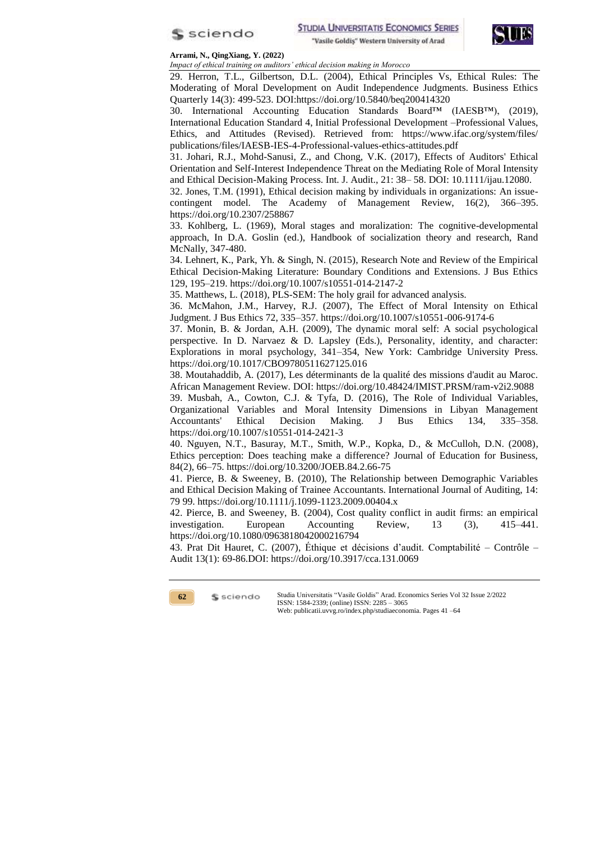



*Impact of ethical training on auditors' ethical decision making in Morocco*

29. Herron, T.L., Gilbertson, D.L. (2004), Ethical Principles Vs, Ethical Rules: The Moderating of Moral Development on Audit Independence Judgments. Business Ethics Quarterly 14(3): 499-523. DOI:https://doi.org/10.5840/beq200414320

30. International Accounting Education Standards Board™ (IAESB™), (2019), International Education Standard 4, Initial Professional Development –Professional Values, Ethics, and Attitudes (Revised). Retrieved from: https://www.ifac.org/system/files/ publications/files/IAESB-IES-4-Professional-values-ethics-attitudes.pdf

31. Johari, R.J., Mohd-Sanusi, Z., and Chong, V.K. (2017), Effects of Auditors' Ethical Orientation and Self-Interest Independence Threat on the Mediating Role of Moral Intensity and Ethical Decision-Making Process. Int. J. Audit., 21: 38– 58. DOI: 10.1111/ijau.12080.

32. Jones, T.M. (1991), Ethical decision making by individuals in organizations: An issuecontingent model. The Academy of Management Review, 16(2), 366–395. https://doi.org/10.2307/258867

33. Kohlberg, L. (1969), Moral stages and moralization: The cognitive-developmental approach, In D.A. Goslin (ed.), Handbook of socialization theory and research, Rand McNally, 347-480.

34. Lehnert, K., Park, Yh. & Singh, N. (2015), Research Note and Review of the Empirical Ethical Decision-Making Literature: Boundary Conditions and Extensions. J Bus Ethics 129, 195–219. https://doi.org/10.1007/s10551-014-2147-2

35. Matthews, L. (2018), PLS-SEM: The holy grail for advanced analysis.

36. McMahon, J.M., Harvey, R.J. (2007), The Effect of Moral Intensity on Ethical Judgment. J Bus Ethics 72, 335–357. https://doi.org/10.1007/s10551-006-9174-6

37. Monin, B. & Jordan, A.H. (2009), The dynamic moral self: A social psychological perspective. In D. Narvaez & D. Lapsley (Eds.), Personality, identity, and character: Explorations in moral psychology, 341–354, New York: Cambridge University Press. https://doi.org/10.1017/CBO9780511627125.016

38. Moutahaddib, A. (2017), Les déterminants de la qualité des missions d'audit au Maroc. African Management Review. DOI: https://doi.org/10.48424/IMIST.PRSM/ram-v2i2.9088

39. Musbah, A., Cowton, C.J. & Tyfa, D. (2016), The Role of Individual Variables, Organizational Variables and Moral Intensity Dimensions in Libyan Management Accountants' Ethical Decision Making. J Bus Ethics 134, 335–358. https://doi.org/10.1007/s10551-014-2421-3

40. Nguyen, N.T., Basuray, M.T., Smith, W.P., Kopka, D., & McCulloh, D.N. (2008), Ethics perception: Does teaching make a difference? Journal of Education for Business, 84(2), 66–75. https://doi.org/10.3200/JOEB.84.2.66-75

41. Pierce, B. & Sweeney, B. (2010), The Relationship between Demographic Variables and Ethical Decision Making of Trainee Accountants. International Journal of Auditing, 14: 79 99. https://doi.org/10.1111/j.1099-1123.2009.00404.x

42. Pierce, B. and Sweeney, B. (2004), Cost quality conflict in audit firms: an empirical investigation. European Accounting Review, 13 (3), 415–441. https://doi.org/10.1080/0963818042000216794

43. Prat Dit Hauret, C. (2007), Éthique et décisions d'audit. Comptabilité – Contrôle – Audit 13(1): 69-86.DOI: https://doi.org/10.3917/cca.131.0069

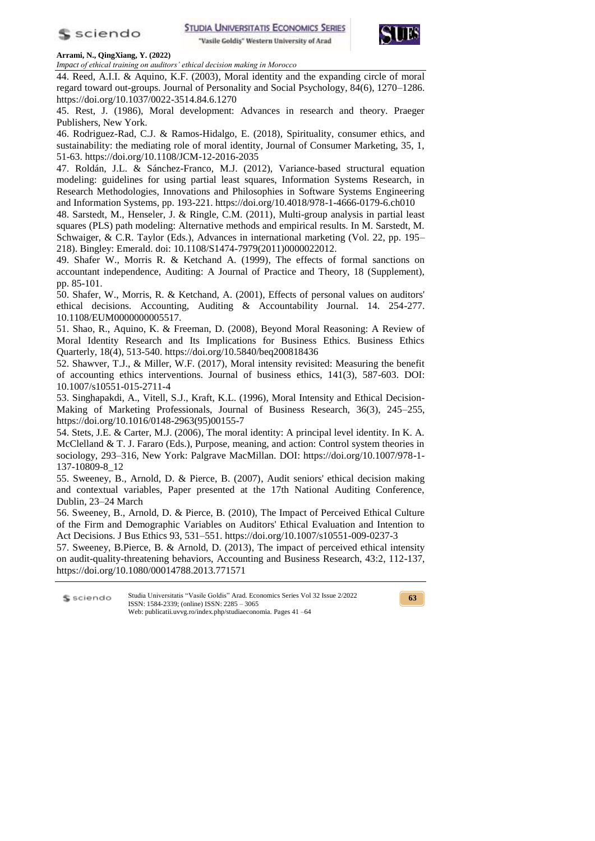

**STUDIA UNIVERSITATIS ECONOMICS SERIES** 

"Vasile Goldiş" Western University of Arad



#### **Arrami, N., QingXiang, Y. (2022)**

*Impact of ethical training on auditors' ethical decision making in Morocco*

44. Reed, A.I.I. & Aquino, K.F. (2003), Moral identity and the expanding circle of moral regard toward out-groups. Journal of Personality and Social Psychology, 84(6), 1270–1286. https://doi.org/10.1037/0022-3514.84.6.1270

45. Rest, J. (1986), Moral development: Advances in research and theory. Praeger Publishers, New York.

46. Rodriguez-Rad, C.J. & Ramos-Hidalgo, E. (2018), Spirituality, consumer ethics, and sustainability: the mediating role of moral identity, Journal of Consumer Marketing, 35, 1, 51-63. https://doi.org/10.1108/JCM-12-2016-2035

47. Roldán, J.L. & Sánchez-Franco, M.J. (2012), Variance-based structural equation modeling: guidelines for using partial least squares, Information Systems Research, in Research Methodologies, Innovations and Philosophies in Software Systems Engineering and Information Systems, pp. 193-221. https://doi.org/10.4018/978-1-4666-0179-6.ch010

48. Sarstedt, M., Henseler, J. & Ringle, C.M. (2011), Multi-group analysis in partial least squares (PLS) path modeling: Alternative methods and empirical results. In M. Sarstedt, M. Schwaiger, & C.R. Taylor (Eds.), Advances in international marketing (Vol. 22, pp. 195– 218). Bingley: Emerald. doi: 10.1108/S1474-7979(2011)0000022012.

49. Shafer W., Morris R. & Ketchand A. (1999), The effects of formal sanctions on accountant independence, Auditing: A Journal of Practice and Theory, 18 (Supplement), pp. 85-101.

50. Shafer, W., Morris, R. & Ketchand, A. (2001), Effects of personal values on auditors' ethical decisions. Accounting, Auditing & Accountability Journal. 14. 254-277. 10.1108/EUM0000000005517.

51. Shao, R., Aquino, K. & Freeman, D. (2008), Beyond Moral Reasoning: A Review of Moral Identity Research and Its Implications for Business Ethics. Business Ethics Quarterly, 18(4), 513-540. https://doi.org/10.5840/beq200818436

52. Shawver, T.J., & Miller, W.F. (2017), Moral intensity revisited: Measuring the benefit of accounting ethics interventions. Journal of business ethics, 141(3), 587-603. DOI: 10.1007/s10551-015-2711-4

53. Singhapakdi, A., Vitell, S.J., Kraft, K.L. (1996), Moral Intensity and Ethical Decision-Making of Marketing Professionals, Journal of Business Research, 36(3), 245–255, https://doi.org/10.1016/0148-2963(95)00155-7

54. Stets, J.E. & Carter, M.J. (2006), The moral identity: A principal level identity. In K. A. McClelland & T. J. Fararo (Eds.), Purpose, meaning, and action: Control system theories in sociology, 293–316, New York: Palgrave MacMillan. DOI: https://doi.org/10.1007/978-1- 137-10809-8\_12

55. Sweeney, B., Arnold, D. & Pierce, B. (2007), Audit seniors' ethical decision making and contextual variables, Paper presented at the 17th National Auditing Conference, Dublin, 23–24 March

56. Sweeney, B., Arnold, D. & Pierce, B. (2010), The Impact of Perceived Ethical Culture of the Firm and Demographic Variables on Auditors' Ethical Evaluation and Intention to Act Decisions. J Bus Ethics 93, 531–551. https://doi.org/10.1007/s10551-009-0237-3

57. Sweeney, B.Pierce, B. & Arnold, D. (2013), The impact of perceived ethical intensity on audit-quality-threatening behaviors, Accounting and Business Research, 43:2, 112-137, https://doi.org/10.1080/00014788.2013.771571

Studia Universitatis "Vasile Goldis" Arad. Economics Series Vol 32 Issue 2/2022 S sciendo ISSN: 1584-2339; (online) ISSN: 2285 – 3065 Web: publicatii.uvvg.ro/index.php/studiaeconomia. Pages 41 –64